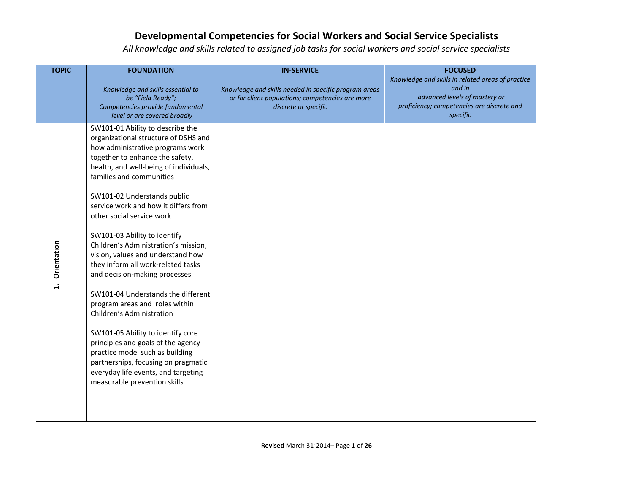| <b>TOPIC</b>              | <b>FOUNDATION</b>                                                                                                                                                                                                                                                                                                                                                                                                                                                                                                                                                                                                                                                                                                                                                                                                                              | <b>IN-SERVICE</b>                                                                                                                 | <b>FOCUSED</b>                                                                                                                                         |
|---------------------------|------------------------------------------------------------------------------------------------------------------------------------------------------------------------------------------------------------------------------------------------------------------------------------------------------------------------------------------------------------------------------------------------------------------------------------------------------------------------------------------------------------------------------------------------------------------------------------------------------------------------------------------------------------------------------------------------------------------------------------------------------------------------------------------------------------------------------------------------|-----------------------------------------------------------------------------------------------------------------------------------|--------------------------------------------------------------------------------------------------------------------------------------------------------|
|                           | Knowledge and skills essential to<br>be "Field Ready";<br>Competencies provide fundamental<br>level or are covered broadly                                                                                                                                                                                                                                                                                                                                                                                                                                                                                                                                                                                                                                                                                                                     | Knowledge and skills needed in specific program areas<br>or for client populations; competencies are more<br>discrete or specific | Knowledge and skills in related areas of practice<br>and in<br>advanced levels of mastery or<br>proficiency; competencies are discrete and<br>specific |
| Orientation<br>$\ddot{ }$ | SW101-01 Ability to describe the<br>organizational structure of DSHS and<br>how administrative programs work<br>together to enhance the safety,<br>health, and well-being of individuals,<br>families and communities<br>SW101-02 Understands public<br>service work and how it differs from<br>other social service work<br>SW101-03 Ability to identify<br>Children's Administration's mission,<br>vision, values and understand how<br>they inform all work-related tasks<br>and decision-making processes<br>SW101-04 Understands the different<br>program areas and roles within<br>Children's Administration<br>SW101-05 Ability to identify core<br>principles and goals of the agency<br>practice model such as building<br>partnerships, focusing on pragmatic<br>everyday life events, and targeting<br>measurable prevention skills |                                                                                                                                   |                                                                                                                                                        |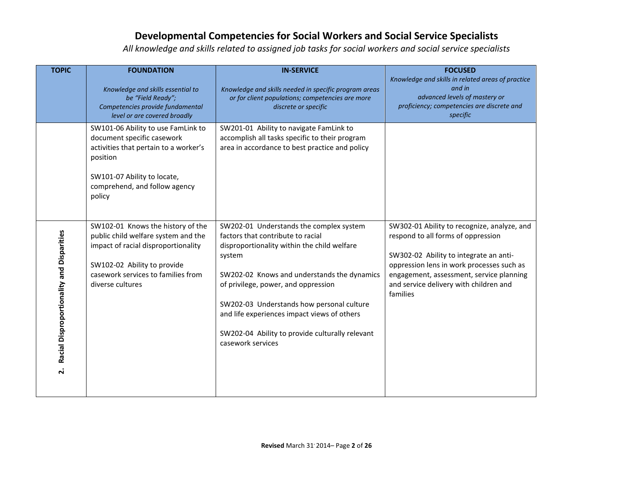| <b>TOPIC</b>                                                    | <b>FOUNDATION</b>                                                                                                                                                                                        | <b>IN-SERVICE</b>                                                                                                                                                                                                                                                                                                                                                                               | <b>FOCUSED</b>                                                                                                                                                                                                                                                             |
|-----------------------------------------------------------------|----------------------------------------------------------------------------------------------------------------------------------------------------------------------------------------------------------|-------------------------------------------------------------------------------------------------------------------------------------------------------------------------------------------------------------------------------------------------------------------------------------------------------------------------------------------------------------------------------------------------|----------------------------------------------------------------------------------------------------------------------------------------------------------------------------------------------------------------------------------------------------------------------------|
|                                                                 | Knowledge and skills essential to<br>be "Field Ready";<br>Competencies provide fundamental<br>level or are covered broadly                                                                               | Knowledge and skills needed in specific program areas<br>or for client populations; competencies are more<br>discrete or specific                                                                                                                                                                                                                                                               | Knowledge and skills in related areas of practice<br>and in<br>advanced levels of mastery or<br>proficiency; competencies are discrete and<br>specific                                                                                                                     |
|                                                                 | SW101-06 Ability to use FamLink to<br>document specific casework<br>activities that pertain to a worker's<br>position<br>SW101-07 Ability to locate,<br>comprehend, and follow agency<br>policy          | SW201-01 Ability to navigate FamLink to<br>accomplish all tasks specific to their program<br>area in accordance to best practice and policy                                                                                                                                                                                                                                                     |                                                                                                                                                                                                                                                                            |
| Racial Disproportionality and Disparities<br>$\dot{\mathbf{r}}$ | SW102-01 Knows the history of the<br>public child welfare system and the<br>impact of racial disproportionality<br>SW102-02 Ability to provide<br>casework services to families from<br>diverse cultures | SW202-01 Understands the complex system<br>factors that contribute to racial<br>disproportionality within the child welfare<br>system<br>SW202-02 Knows and understands the dynamics<br>of privilege, power, and oppression<br>SW202-03 Understands how personal culture<br>and life experiences impact views of others<br>SW202-04 Ability to provide culturally relevant<br>casework services | SW302-01 Ability to recognize, analyze, and<br>respond to all forms of oppression<br>SW302-02 Ability to integrate an anti-<br>oppression lens in work processes such as<br>engagement, assessment, service planning<br>and service delivery with children and<br>families |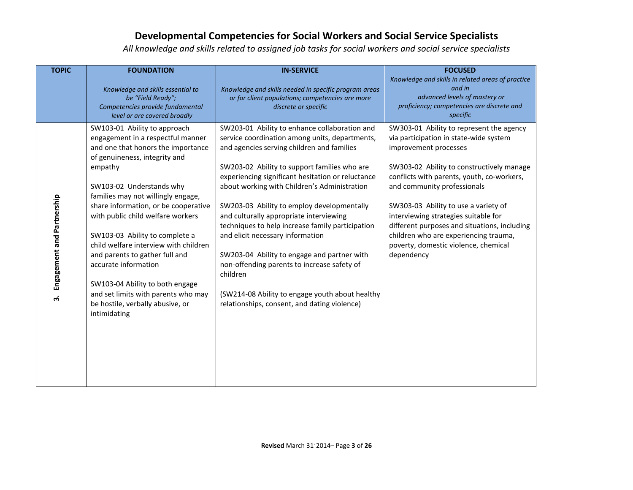| <b>TOPIC</b>                     | <b>FOUNDATION</b>                                                                                                                                                                                                                                                                                                                                                                                                                                                                                                                                                     | <b>IN-SERVICE</b>                                                                                                                                                                                                                                                                                                                                                                                                                                                                                                                                                                                                                                                                                | <b>FOCUSED</b>                                                                                                                                                                                                                                                                                                                                                                                                                                                       |
|----------------------------------|-----------------------------------------------------------------------------------------------------------------------------------------------------------------------------------------------------------------------------------------------------------------------------------------------------------------------------------------------------------------------------------------------------------------------------------------------------------------------------------------------------------------------------------------------------------------------|--------------------------------------------------------------------------------------------------------------------------------------------------------------------------------------------------------------------------------------------------------------------------------------------------------------------------------------------------------------------------------------------------------------------------------------------------------------------------------------------------------------------------------------------------------------------------------------------------------------------------------------------------------------------------------------------------|----------------------------------------------------------------------------------------------------------------------------------------------------------------------------------------------------------------------------------------------------------------------------------------------------------------------------------------------------------------------------------------------------------------------------------------------------------------------|
|                                  | Knowledge and skills essential to<br>be "Field Ready";<br>Competencies provide fundamental<br>level or are covered broadly                                                                                                                                                                                                                                                                                                                                                                                                                                            | Knowledge and skills needed in specific program areas<br>or for client populations; competencies are more<br>discrete or specific                                                                                                                                                                                                                                                                                                                                                                                                                                                                                                                                                                | Knowledge and skills in related areas of practice<br>and in<br>advanced levels of mastery or<br>proficiency; competencies are discrete and<br>specific                                                                                                                                                                                                                                                                                                               |
| Engagement and Partnership<br>ന് | SW103-01 Ability to approach<br>engagement in a respectful manner<br>and one that honors the importance<br>of genuineness, integrity and<br>empathy<br>SW103-02 Understands why<br>families may not willingly engage,<br>share information, or be cooperative<br>with public child welfare workers<br>SW103-03 Ability to complete a<br>child welfare interview with children<br>and parents to gather full and<br>accurate information<br>SW103-04 Ability to both engage<br>and set limits with parents who may<br>be hostile, verbally abusive, or<br>intimidating | SW203-01 Ability to enhance collaboration and<br>service coordination among units, departments,<br>and agencies serving children and families<br>SW203-02 Ability to support families who are<br>experiencing significant hesitation or reluctance<br>about working with Children's Administration<br>SW203-03 Ability to employ developmentally<br>and culturally appropriate interviewing<br>techniques to help increase family participation<br>and elicit necessary information<br>SW203-04 Ability to engage and partner with<br>non-offending parents to increase safety of<br>children<br>(SW214-08 Ability to engage youth about healthy<br>relationships, consent, and dating violence) | SW303-01 Ability to represent the agency<br>via participation in state-wide system<br>improvement processes<br>SW303-02 Ability to constructively manage<br>conflicts with parents, youth, co-workers,<br>and community professionals<br>SW303-03 Ability to use a variety of<br>interviewing strategies suitable for<br>different purposes and situations, including<br>children who are experiencing trauma,<br>poverty, domestic violence, chemical<br>dependency |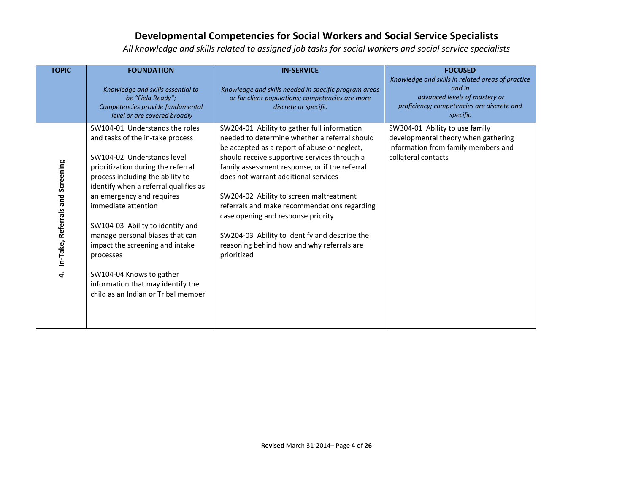| <b>TOPIC</b>                          | <b>FOUNDATION</b><br>Knowledge and skills essential to<br>be "Field Ready";<br>Competencies provide fundamental<br>level or are covered broadly                                                                                                                                                                                                                                                                                                                                                        | <b>IN-SERVICE</b><br>Knowledge and skills needed in specific program areas<br>or for client populations; competencies are more<br>discrete or specific                                                                                                                                                                                                                                                                                                                                                                                | <b>FOCUSED</b><br>Knowledge and skills in related areas of practice<br>and in<br>advanced levels of mastery or<br>proficiency; competencies are discrete and<br>specific |
|---------------------------------------|--------------------------------------------------------------------------------------------------------------------------------------------------------------------------------------------------------------------------------------------------------------------------------------------------------------------------------------------------------------------------------------------------------------------------------------------------------------------------------------------------------|---------------------------------------------------------------------------------------------------------------------------------------------------------------------------------------------------------------------------------------------------------------------------------------------------------------------------------------------------------------------------------------------------------------------------------------------------------------------------------------------------------------------------------------|--------------------------------------------------------------------------------------------------------------------------------------------------------------------------|
| In-Take, Referrals and Screening<br>4 | SW104-01 Understands the roles<br>and tasks of the in-take process<br>SW104-02 Understands level<br>prioritization during the referral<br>process including the ability to<br>identify when a referral qualifies as<br>an emergency and requires<br>immediate attention<br>SW104-03 Ability to identify and<br>manage personal biases that can<br>impact the screening and intake<br>processes<br>SW104-04 Knows to gather<br>information that may identify the<br>child as an Indian or Tribal member | SW204-01 Ability to gather full information<br>needed to determine whether a referral should<br>be accepted as a report of abuse or neglect,<br>should receive supportive services through a<br>family assessment response, or if the referral<br>does not warrant additional services<br>SW204-02 Ability to screen maltreatment<br>referrals and make recommendations regarding<br>case opening and response priority<br>SW204-03 Ability to identify and describe the<br>reasoning behind how and why referrals are<br>prioritized | SW304-01 Ability to use family<br>developmental theory when gathering<br>information from family members and<br>collateral contacts                                      |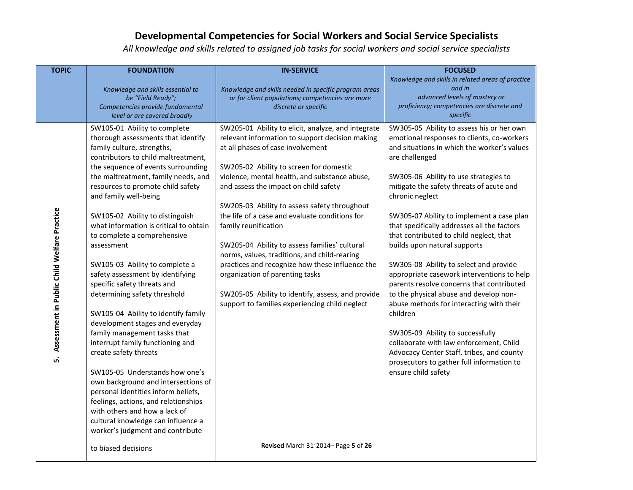| <b>TOPIC</b>                                      | <b>FOUNDATION</b>                                                                                                                                                                                                                                                                                                                                                                                                                                                                                                                                                                                                                                                                                                                                                                                 | <b>IN-SERVICE</b>                                                                                                                                                                                                                                                                                                                                                                                                                                                                                                                                                                                                                                                                                       | <b>FOCUSED</b>                                                                                                                                                                                                                                                                                                                                                                                                                                                                                                                                                                                                                                                                                                                                                                                                                                                                 |
|---------------------------------------------------|---------------------------------------------------------------------------------------------------------------------------------------------------------------------------------------------------------------------------------------------------------------------------------------------------------------------------------------------------------------------------------------------------------------------------------------------------------------------------------------------------------------------------------------------------------------------------------------------------------------------------------------------------------------------------------------------------------------------------------------------------------------------------------------------------|---------------------------------------------------------------------------------------------------------------------------------------------------------------------------------------------------------------------------------------------------------------------------------------------------------------------------------------------------------------------------------------------------------------------------------------------------------------------------------------------------------------------------------------------------------------------------------------------------------------------------------------------------------------------------------------------------------|--------------------------------------------------------------------------------------------------------------------------------------------------------------------------------------------------------------------------------------------------------------------------------------------------------------------------------------------------------------------------------------------------------------------------------------------------------------------------------------------------------------------------------------------------------------------------------------------------------------------------------------------------------------------------------------------------------------------------------------------------------------------------------------------------------------------------------------------------------------------------------|
|                                                   | Knowledge and skills essential to<br>be "Field Ready";                                                                                                                                                                                                                                                                                                                                                                                                                                                                                                                                                                                                                                                                                                                                            | Knowledge and skills needed in specific program areas                                                                                                                                                                                                                                                                                                                                                                                                                                                                                                                                                                                                                                                   | Knowledge and skills in related areas of practice<br>and in<br>advanced levels of mastery or                                                                                                                                                                                                                                                                                                                                                                                                                                                                                                                                                                                                                                                                                                                                                                                   |
|                                                   | Competencies provide fundamental                                                                                                                                                                                                                                                                                                                                                                                                                                                                                                                                                                                                                                                                                                                                                                  | or for client populations; competencies are more<br>discrete or specific                                                                                                                                                                                                                                                                                                                                                                                                                                                                                                                                                                                                                                | proficiency; competencies are discrete and                                                                                                                                                                                                                                                                                                                                                                                                                                                                                                                                                                                                                                                                                                                                                                                                                                     |
|                                                   | level or are covered broadly                                                                                                                                                                                                                                                                                                                                                                                                                                                                                                                                                                                                                                                                                                                                                                      |                                                                                                                                                                                                                                                                                                                                                                                                                                                                                                                                                                                                                                                                                                         | specific                                                                                                                                                                                                                                                                                                                                                                                                                                                                                                                                                                                                                                                                                                                                                                                                                                                                       |
| Assessment in Public Child Welfare Practice<br>ທ່ | SW105-01 Ability to complete<br>thorough assessments that identify<br>family culture, strengths,<br>contributors to child maltreatment,<br>the sequence of events surrounding<br>the maltreatment, family needs, and<br>resources to promote child safety<br>and family well-being<br>SW105-02 Ability to distinguish<br>what information is critical to obtain<br>to complete a comprehensive<br>assessment<br>SW105-03 Ability to complete a<br>safety assessment by identifying<br>specific safety threats and<br>determining safety threshold<br>SW105-04 Ability to identify family<br>development stages and everyday<br>family management tasks that<br>interrupt family functioning and<br>create safety threats<br>SW105-05 Understands how one's<br>own background and intersections of | SW205-01 Ability to elicit, analyze, and integrate<br>relevant information to support decision making<br>at all phases of case involvement<br>SW205-02 Ability to screen for domestic<br>violence, mental health, and substance abuse,<br>and assess the impact on child safety<br>SW205-03 Ability to assess safety throughout<br>the life of a case and evaluate conditions for<br>family reunification<br>SW205-04 Ability to assess families' cultural<br>norms, values, traditions, and child-rearing<br>practices and recognize how these influence the<br>organization of parenting tasks<br>SW205-05 Ability to identify, assess, and provide<br>support to families experiencing child neglect | SW305-05 Ability to assess his or her own<br>emotional responses to clients, co-workers<br>and situations in which the worker's values<br>are challenged<br>SW305-06 Ability to use strategies to<br>mitigate the safety threats of acute and<br>chronic neglect<br>SW305-07 Ability to implement a case plan<br>that specifically addresses all the factors<br>that contributed to child neglect, that<br>builds upon natural supports<br>SW305-08 Ability to select and provide<br>appropriate casework interventions to help<br>parents resolve concerns that contributed<br>to the physical abuse and develop non-<br>abuse methods for interacting with their<br>children<br>SW305-09 Ability to successfully<br>collaborate with law enforcement, Child<br>Advocacy Center Staff, tribes, and county<br>prosecutors to gather full information to<br>ensure child safety |
|                                                   | personal identities inform beliefs,<br>feelings, actions, and relationships<br>with others and how a lack of                                                                                                                                                                                                                                                                                                                                                                                                                                                                                                                                                                                                                                                                                      |                                                                                                                                                                                                                                                                                                                                                                                                                                                                                                                                                                                                                                                                                                         |                                                                                                                                                                                                                                                                                                                                                                                                                                                                                                                                                                                                                                                                                                                                                                                                                                                                                |
|                                                   | cultural knowledge can influence a<br>worker's judgment and contribute                                                                                                                                                                                                                                                                                                                                                                                                                                                                                                                                                                                                                                                                                                                            |                                                                                                                                                                                                                                                                                                                                                                                                                                                                                                                                                                                                                                                                                                         |                                                                                                                                                                                                                                                                                                                                                                                                                                                                                                                                                                                                                                                                                                                                                                                                                                                                                |
|                                                   | to biased decisions                                                                                                                                                                                                                                                                                                                                                                                                                                                                                                                                                                                                                                                                                                                                                                               | Revised March 31'2014- Page 5 of 26                                                                                                                                                                                                                                                                                                                                                                                                                                                                                                                                                                                                                                                                     |                                                                                                                                                                                                                                                                                                                                                                                                                                                                                                                                                                                                                                                                                                                                                                                                                                                                                |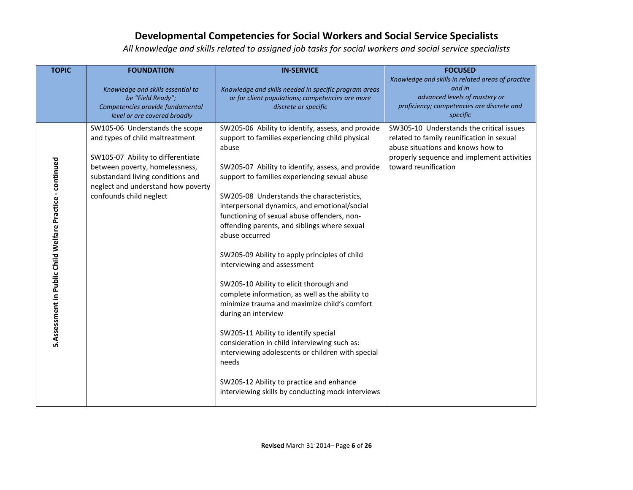| <b>TOPIC</b>                                              | <b>FOUNDATION</b>                                                                                                                                                                                                                              | <b>IN-SERVICE</b>                                                                                                                                                                                                                                                                                                                                                                                                                                                                                                                                                                                                                                                                                                                                                                                                                                                                                                                             | <b>FOCUSED</b>                                                                                                                                                                                   |
|-----------------------------------------------------------|------------------------------------------------------------------------------------------------------------------------------------------------------------------------------------------------------------------------------------------------|-----------------------------------------------------------------------------------------------------------------------------------------------------------------------------------------------------------------------------------------------------------------------------------------------------------------------------------------------------------------------------------------------------------------------------------------------------------------------------------------------------------------------------------------------------------------------------------------------------------------------------------------------------------------------------------------------------------------------------------------------------------------------------------------------------------------------------------------------------------------------------------------------------------------------------------------------|--------------------------------------------------------------------------------------------------------------------------------------------------------------------------------------------------|
|                                                           | Knowledge and skills essential to<br>be "Field Ready";<br>Competencies provide fundamental<br>level or are covered broadly                                                                                                                     | Knowledge and skills needed in specific program areas<br>or for client populations; competencies are more<br>discrete or specific                                                                                                                                                                                                                                                                                                                                                                                                                                                                                                                                                                                                                                                                                                                                                                                                             | Knowledge and skills in related areas of practice<br>and in<br>advanced levels of mastery or<br>proficiency; competencies are discrete and<br>specific                                           |
| 5.Assessment in Public Child Welfare Practice - continued | SW105-06 Understands the scope<br>and types of child maltreatment<br>SW105-07 Ability to differentiate<br>between poverty, homelessness,<br>substandard living conditions and<br>neglect and understand how poverty<br>confounds child neglect | SW205-06 Ability to identify, assess, and provide<br>support to families experiencing child physical<br>abuse<br>SW205-07 Ability to identify, assess, and provide<br>support to families experiencing sexual abuse<br>SW205-08 Understands the characteristics,<br>interpersonal dynamics, and emotional/social<br>functioning of sexual abuse offenders, non-<br>offending parents, and siblings where sexual<br>abuse occurred<br>SW205-09 Ability to apply principles of child<br>interviewing and assessment<br>SW205-10 Ability to elicit thorough and<br>complete information, as well as the ability to<br>minimize trauma and maximize child's comfort<br>during an interview<br>SW205-11 Ability to identify special<br>consideration in child interviewing such as:<br>interviewing adolescents or children with special<br>needs<br>SW205-12 Ability to practice and enhance<br>interviewing skills by conducting mock interviews | SW305-10 Understands the critical issues<br>related to family reunification in sexual<br>abuse situations and knows how to<br>properly sequence and implement activities<br>toward reunification |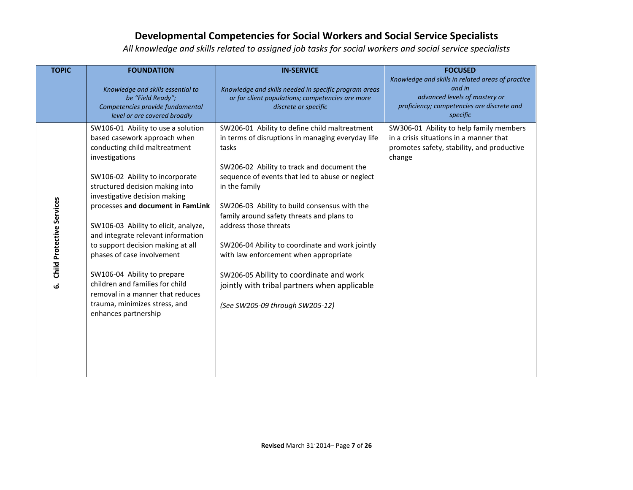| <b>TOPIC</b>                    | <b>FOUNDATION</b>                                                                                                                                                                                                                                                                                                                                                                                                                                                                                                                                                                 | <b>IN-SERVICE</b>                                                                                                                                                                                                                                                                                                                                                                                                                                                                                                                                                             | <b>FOCUSED</b><br>Knowledge and skills in related areas of practice                                                                        |
|---------------------------------|-----------------------------------------------------------------------------------------------------------------------------------------------------------------------------------------------------------------------------------------------------------------------------------------------------------------------------------------------------------------------------------------------------------------------------------------------------------------------------------------------------------------------------------------------------------------------------------|-------------------------------------------------------------------------------------------------------------------------------------------------------------------------------------------------------------------------------------------------------------------------------------------------------------------------------------------------------------------------------------------------------------------------------------------------------------------------------------------------------------------------------------------------------------------------------|--------------------------------------------------------------------------------------------------------------------------------------------|
|                                 | Knowledge and skills essential to<br>be "Field Ready";<br>Competencies provide fundamental<br>level or are covered broadly                                                                                                                                                                                                                                                                                                                                                                                                                                                        | Knowledge and skills needed in specific program areas<br>or for client populations; competencies are more<br>discrete or specific                                                                                                                                                                                                                                                                                                                                                                                                                                             | and in<br>advanced levels of mastery or<br>proficiency; competencies are discrete and<br>specific                                          |
| Child Protective Services<br>نی | SW106-01 Ability to use a solution<br>based casework approach when<br>conducting child maltreatment<br>investigations<br>SW106-02 Ability to incorporate<br>structured decision making into<br>investigative decision making<br>processes and document in FamLink<br>SW106-03 Ability to elicit, analyze,<br>and integrate relevant information<br>to support decision making at all<br>phases of case involvement<br>SW106-04 Ability to prepare<br>children and families for child<br>removal in a manner that reduces<br>trauma, minimizes stress, and<br>enhances partnership | SW206-01 Ability to define child maltreatment<br>in terms of disruptions in managing everyday life<br>tasks<br>SW206-02 Ability to track and document the<br>sequence of events that led to abuse or neglect<br>in the family<br>SW206-03 Ability to build consensus with the<br>family around safety threats and plans to<br>address those threats<br>SW206-04 Ability to coordinate and work jointly<br>with law enforcement when appropriate<br>SW206-05 Ability to coordinate and work<br>jointly with tribal partners when applicable<br>(See SW205-09 through SW205-12) | SW306-01 Ability to help family members<br>in a crisis situations in a manner that<br>promotes safety, stability, and productive<br>change |
|                                 |                                                                                                                                                                                                                                                                                                                                                                                                                                                                                                                                                                                   |                                                                                                                                                                                                                                                                                                                                                                                                                                                                                                                                                                               |                                                                                                                                            |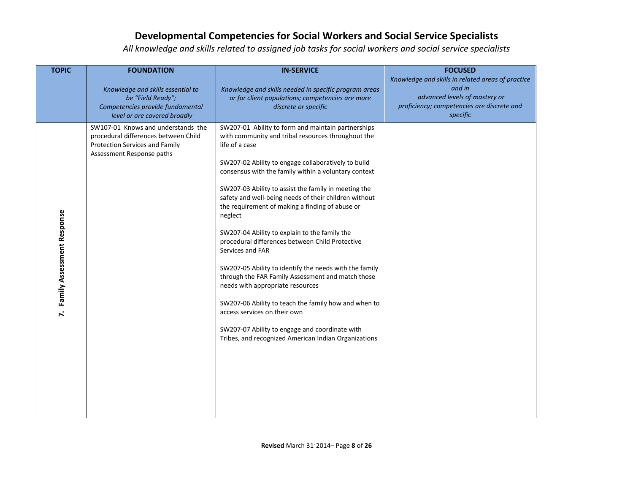| <b>TOPIC</b>                               | <b>FOUNDATION</b>                                                                                                                         | <b>IN-SERVICE</b>                                                                                                                                                                                                                                                                                                                                                                                                                                                                                                                                                                                                                                                                                                                                                                                                                                                                                     | <b>FOCUSED</b>                                                                                                                                         |
|--------------------------------------------|-------------------------------------------------------------------------------------------------------------------------------------------|-------------------------------------------------------------------------------------------------------------------------------------------------------------------------------------------------------------------------------------------------------------------------------------------------------------------------------------------------------------------------------------------------------------------------------------------------------------------------------------------------------------------------------------------------------------------------------------------------------------------------------------------------------------------------------------------------------------------------------------------------------------------------------------------------------------------------------------------------------------------------------------------------------|--------------------------------------------------------------------------------------------------------------------------------------------------------|
|                                            | Knowledge and skills essential to<br>be "Field Ready";<br>Competencies provide fundamental<br>level or are covered broadly                | Knowledge and skills needed in specific program areas<br>or for client populations; competencies are more<br>discrete or specific                                                                                                                                                                                                                                                                                                                                                                                                                                                                                                                                                                                                                                                                                                                                                                     | Knowledge and skills in related areas of practice<br>and in<br>advanced levels of mastery or<br>proficiency; competencies are discrete and<br>specific |
| Family Assessment Response<br>$\mathbf{r}$ | SW107-01 Knows and understands the<br>procedural differences between Child<br>Protection Services and Family<br>Assessment Response paths | SW207-01 Ability to form and maintain partnerships<br>with community and tribal resources throughout the<br>life of a case<br>SW207-02 Ability to engage collaboratively to build<br>consensus with the family within a voluntary context<br>SW207-03 Ability to assist the family in meeting the<br>safety and well-being needs of their children without<br>the requirement of making a finding of abuse or<br>neglect<br>SW207-04 Ability to explain to the family the<br>procedural differences between Child Protective<br>Services and FAR<br>SW207-05 Ability to identify the needs with the family<br>through the FAR Family Assessment and match those<br>needs with appropriate resources<br>SW207-06 Ability to teach the family how and when to<br>access services on their own<br>SW207-07 Ability to engage and coordinate with<br>Tribes, and recognized American Indian Organizations |                                                                                                                                                        |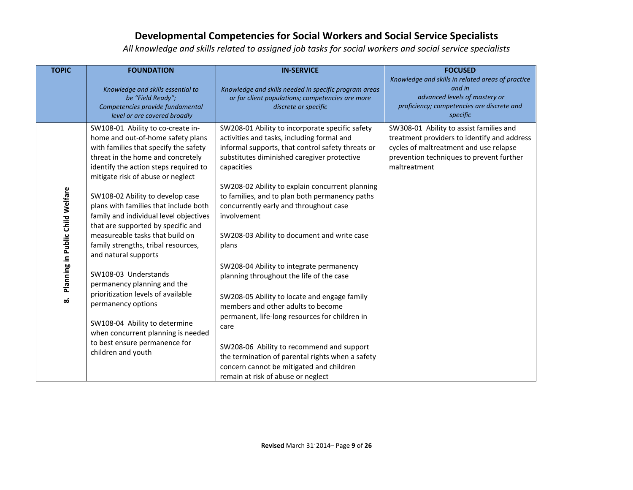| <b>TOPIC</b>                     | <b>FOUNDATION</b><br>Knowledge and skills essential to<br>be "Field Ready";<br>Competencies provide fundamental<br>level or are covered broadly                                                                                                                                                                                                                                                                                                                                                   | <b>IN-SERVICE</b><br>Knowledge and skills needed in specific program areas<br>or for client populations; competencies are more<br>discrete or specific                                                                                                                                                                                                                                                                                | <b>FOCUSED</b><br>Knowledge and skills in related areas of practice<br>and in<br>advanced levels of mastery or<br>proficiency; competencies are discrete and<br>specific                     |
|----------------------------------|---------------------------------------------------------------------------------------------------------------------------------------------------------------------------------------------------------------------------------------------------------------------------------------------------------------------------------------------------------------------------------------------------------------------------------------------------------------------------------------------------|---------------------------------------------------------------------------------------------------------------------------------------------------------------------------------------------------------------------------------------------------------------------------------------------------------------------------------------------------------------------------------------------------------------------------------------|----------------------------------------------------------------------------------------------------------------------------------------------------------------------------------------------|
| Planning in Public Child Welfare | SW108-01 Ability to co-create in-<br>home and out-of-home safety plans<br>with families that specify the safety<br>threat in the home and concretely<br>identify the action steps required to<br>mitigate risk of abuse or neglect<br>SW108-02 Ability to develop case<br>plans with families that include both<br>family and individual level objectives<br>that are supported by specific and<br>measureable tasks that build on<br>family strengths, tribal resources,<br>and natural supports | SW208-01 Ability to incorporate specific safety<br>activities and tasks, including formal and<br>informal supports, that control safety threats or<br>substitutes diminished caregiver protective<br>capacities<br>SW208-02 Ability to explain concurrent planning<br>to families, and to plan both permanency paths<br>concurrently early and throughout case<br>involvement<br>SW208-03 Ability to document and write case<br>plans | SW308-01 Ability to assist families and<br>treatment providers to identify and address<br>cycles of maltreatment and use relapse<br>prevention techniques to prevent further<br>maltreatment |
| ထံ                               | SW108-03 Understands<br>permanency planning and the<br>prioritization levels of available<br>permanency options<br>SW108-04 Ability to determine<br>when concurrent planning is needed<br>to best ensure permanence for<br>children and youth                                                                                                                                                                                                                                                     | SW208-04 Ability to integrate permanency<br>planning throughout the life of the case<br>SW208-05 Ability to locate and engage family<br>members and other adults to become<br>permanent, life-long resources for children in<br>care<br>SW208-06 Ability to recommend and support<br>the termination of parental rights when a safety<br>concern cannot be mitigated and children<br>remain at risk of abuse or neglect               |                                                                                                                                                                                              |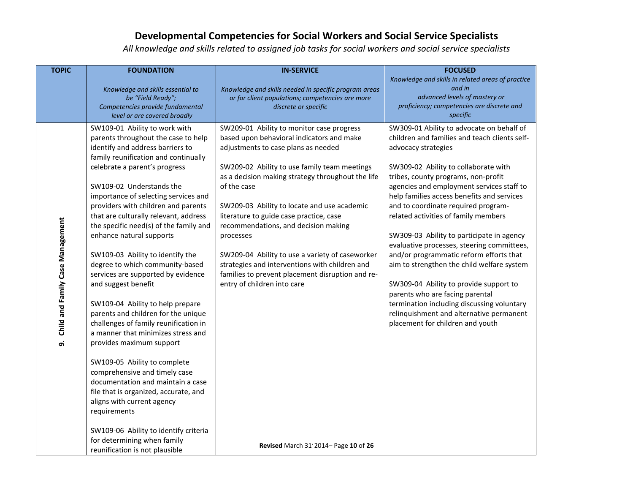| <b>TOPIC</b>                           | <b>FOUNDATION</b>                                                                                                                                                                                                                                                                                                                                                                                                                                                                                                                                                                                                                                                                                                                                                                                                                                                                                                                                                                                                                            | <b>IN-SERVICE</b>                                                                                                                                                                                                                                                                                                                                                                                                                                                                                                                                                                                                                | <b>FOCUSED</b>                                                                                                                                                                                                                                                                                                                                                                                                                                                                                                                                                                                                                                                                                                                                                            |
|----------------------------------------|----------------------------------------------------------------------------------------------------------------------------------------------------------------------------------------------------------------------------------------------------------------------------------------------------------------------------------------------------------------------------------------------------------------------------------------------------------------------------------------------------------------------------------------------------------------------------------------------------------------------------------------------------------------------------------------------------------------------------------------------------------------------------------------------------------------------------------------------------------------------------------------------------------------------------------------------------------------------------------------------------------------------------------------------|----------------------------------------------------------------------------------------------------------------------------------------------------------------------------------------------------------------------------------------------------------------------------------------------------------------------------------------------------------------------------------------------------------------------------------------------------------------------------------------------------------------------------------------------------------------------------------------------------------------------------------|---------------------------------------------------------------------------------------------------------------------------------------------------------------------------------------------------------------------------------------------------------------------------------------------------------------------------------------------------------------------------------------------------------------------------------------------------------------------------------------------------------------------------------------------------------------------------------------------------------------------------------------------------------------------------------------------------------------------------------------------------------------------------|
|                                        | Knowledge and skills essential to<br>be "Field Ready";<br>Competencies provide fundamental<br>level or are covered broadly                                                                                                                                                                                                                                                                                                                                                                                                                                                                                                                                                                                                                                                                                                                                                                                                                                                                                                                   | Knowledge and skills needed in specific program areas<br>or for client populations; competencies are more<br>discrete or specific                                                                                                                                                                                                                                                                                                                                                                                                                                                                                                | Knowledge and skills in related areas of practice<br>and in<br>advanced levels of mastery or<br>proficiency; competencies are discrete and<br>specific                                                                                                                                                                                                                                                                                                                                                                                                                                                                                                                                                                                                                    |
| Child and Family Case Management<br>ெ் | SW109-01 Ability to work with<br>parents throughout the case to help<br>identify and address barriers to<br>family reunification and continually<br>celebrate a parent's progress<br>SW109-02 Understands the<br>importance of selecting services and<br>providers with children and parents<br>that are culturally relevant, address<br>the specific need(s) of the family and<br>enhance natural supports<br>SW109-03 Ability to identify the<br>degree to which community-based<br>services are supported by evidence<br>and suggest benefit<br>SW109-04 Ability to help prepare<br>parents and children for the unique<br>challenges of family reunification in<br>a manner that minimizes stress and<br>provides maximum support<br>SW109-05 Ability to complete<br>comprehensive and timely case<br>documentation and maintain a case<br>file that is organized, accurate, and<br>aligns with current agency<br>requirements<br>SW109-06 Ability to identify criteria<br>for determining when family<br>reunification is not plausible | SW209-01 Ability to monitor case progress<br>based upon behavioral indicators and make<br>adjustments to case plans as needed<br>SW209-02 Ability to use family team meetings<br>as a decision making strategy throughout the life<br>of the case<br>SW209-03 Ability to locate and use academic<br>literature to guide case practice, case<br>recommendations, and decision making<br>processes<br>SW209-04 Ability to use a variety of caseworker<br>strategies and interventions with children and<br>families to prevent placement disruption and re-<br>entry of children into care<br>Revised March 31'2014- Page 10 of 26 | SW309-01 Ability to advocate on behalf of<br>children and families and teach clients self-<br>advocacy strategies<br>SW309-02 Ability to collaborate with<br>tribes, county programs, non-profit<br>agencies and employment services staff to<br>help families access benefits and services<br>and to coordinate required program-<br>related activities of family members<br>SW309-03 Ability to participate in agency<br>evaluative processes, steering committees,<br>and/or programmatic reform efforts that<br>aim to strengthen the child welfare system<br>SW309-04 Ability to provide support to<br>parents who are facing parental<br>termination including discussing voluntary<br>relinquishment and alternative permanent<br>placement for children and youth |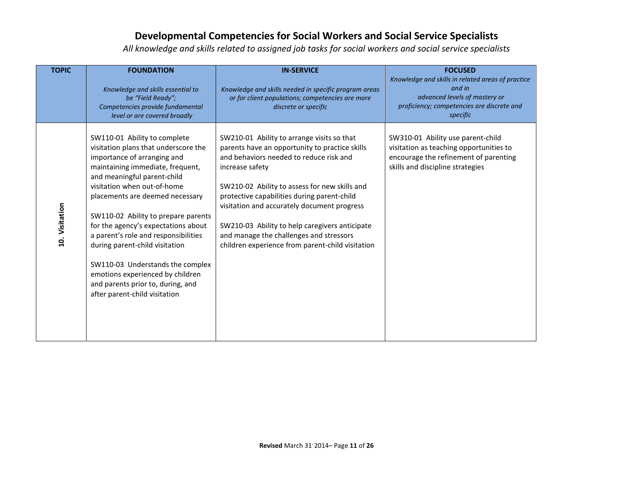| <b>TOPIC</b>   | <b>FOUNDATION</b>                                                                                                                                                                                                                                                                                                                                                                                                                                                                                                                              | <b>IN-SERVICE</b>                                                                                                                                                                                                                                                                                                                                                                                                                                          | <b>FOCUSED</b>                                                                                                                                            |
|----------------|------------------------------------------------------------------------------------------------------------------------------------------------------------------------------------------------------------------------------------------------------------------------------------------------------------------------------------------------------------------------------------------------------------------------------------------------------------------------------------------------------------------------------------------------|------------------------------------------------------------------------------------------------------------------------------------------------------------------------------------------------------------------------------------------------------------------------------------------------------------------------------------------------------------------------------------------------------------------------------------------------------------|-----------------------------------------------------------------------------------------------------------------------------------------------------------|
|                | Knowledge and skills essential to<br>be "Field Ready";<br>Competencies provide fundamental<br>level or are covered broadly                                                                                                                                                                                                                                                                                                                                                                                                                     | Knowledge and skills needed in specific program areas<br>or for client populations; competencies are more<br>discrete or specific                                                                                                                                                                                                                                                                                                                          | Knowledge and skills in related areas of practice<br>and in<br>advanced levels of mastery or<br>proficiency; competencies are discrete and<br>specific    |
| 10. Visitation | SW110-01 Ability to complete<br>visitation plans that underscore the<br>importance of arranging and<br>maintaining immediate, frequent,<br>and meaningful parent-child<br>visitation when out-of-home<br>placements are deemed necessary<br>SW110-02 Ability to prepare parents<br>for the agency's expectations about<br>a parent's role and responsibilities<br>during parent-child visitation<br>SW110-03 Understands the complex<br>emotions experienced by children<br>and parents prior to, during, and<br>after parent-child visitation | SW210-01 Ability to arrange visits so that<br>parents have an opportunity to practice skills<br>and behaviors needed to reduce risk and<br>increase safety<br>SW210-02 Ability to assess for new skills and<br>protective capabilities during parent-child<br>visitation and accurately document progress<br>SW210-03 Ability to help caregivers anticipate<br>and manage the challenges and stressors<br>children experience from parent-child visitation | SW310-01 Ability use parent-child<br>visitation as teaching opportunities to<br>encourage the refinement of parenting<br>skills and discipline strategies |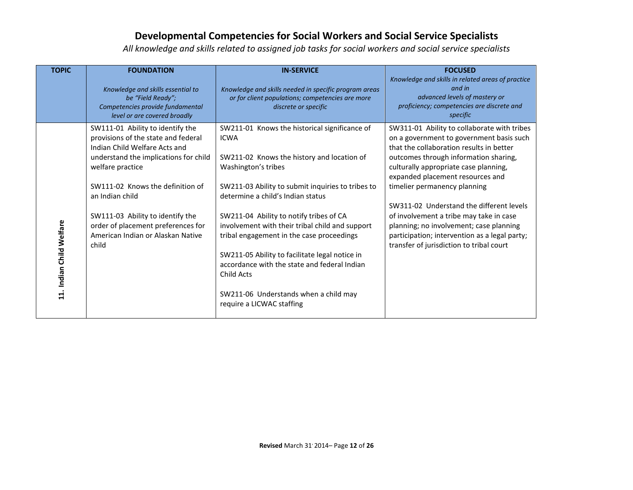| <b>TOPIC</b>             | <b>FOUNDATION</b>                     | <b>IN-SERVICE</b>                                     | <b>FOCUSED</b>                                    |
|--------------------------|---------------------------------------|-------------------------------------------------------|---------------------------------------------------|
|                          |                                       |                                                       | Knowledge and skills in related areas of practice |
|                          | Knowledge and skills essential to     | Knowledge and skills needed in specific program areas | and in                                            |
|                          | be "Field Ready";                     | or for client populations; competencies are more      | advanced levels of mastery or                     |
|                          | Competencies provide fundamental      | discrete or specific                                  | proficiency; competencies are discrete and        |
|                          | level or are covered broadly          |                                                       | specific                                          |
|                          | SW111-01 Ability to identify the      | SW211-01 Knows the historical significance of         | SW311-01 Ability to collaborate with tribes       |
|                          | provisions of the state and federal   | <b>ICWA</b>                                           | on a government to government basis such          |
|                          | Indian Child Welfare Acts and         |                                                       | that the collaboration results in better          |
|                          | understand the implications for child | SW211-02 Knows the history and location of            | outcomes through information sharing,             |
|                          | welfare practice                      | Washington's tribes                                   | culturally appropriate case planning,             |
|                          |                                       |                                                       | expanded placement resources and                  |
|                          | SW111-02 Knows the definition of      | SW211-03 Ability to submit inquiries to tribes to     | timelier permanency planning                      |
|                          | an Indian child                       | determine a child's Indian status                     |                                                   |
|                          |                                       |                                                       | SW311-02 Understand the different levels          |
|                          | SW111-03 Ability to identify the      | SW211-04 Ability to notify tribes of CA               | of involvement a tribe may take in case           |
|                          | order of placement preferences for    | involvement with their tribal child and support       | planning; no involvement; case planning           |
|                          | American Indian or Alaskan Native     | tribal engagement in the case proceedings             | participation; intervention as a legal party;     |
|                          | child                                 |                                                       | transfer of jurisdiction to tribal court          |
| 11. Indian Child Welfare |                                       | SW211-05 Ability to facilitate legal notice in        |                                                   |
|                          |                                       | accordance with the state and federal Indian          |                                                   |
|                          |                                       | Child Acts                                            |                                                   |
|                          |                                       |                                                       |                                                   |
|                          |                                       | SW211-06 Understands when a child may                 |                                                   |
|                          |                                       | require a LICWAC staffing                             |                                                   |
|                          |                                       |                                                       |                                                   |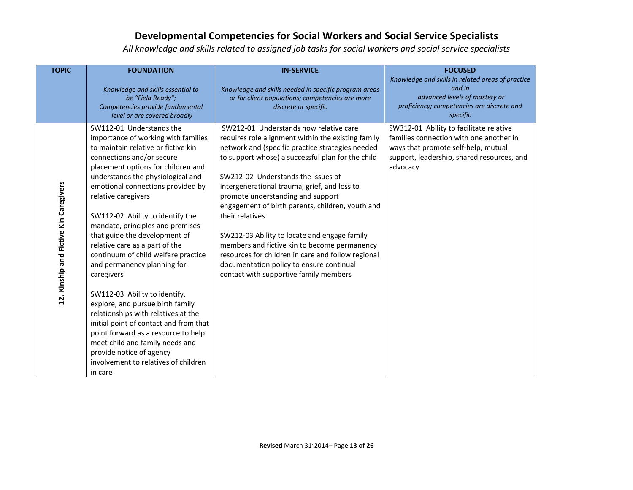| <b>TOPIC</b>                           | <b>FOUNDATION</b><br>Knowledge and skills essential to<br>be "Field Ready";<br>Competencies provide fundamental<br>level or are covered broadly                                                                                                                                                                                                                                                                                                                                                                                                                                                                                                                                                                                                                                                                          | <b>IN-SERVICE</b><br>Knowledge and skills needed in specific program areas<br>or for client populations; competencies are more<br>discrete or specific                                                                                                                                                                                                                                                                                                                                                                                                                                                                                              | <b>FOCUSED</b><br>Knowledge and skills in related areas of practice<br>and in<br>advanced levels of mastery or<br>proficiency; competencies are discrete and<br>specific            |
|----------------------------------------|--------------------------------------------------------------------------------------------------------------------------------------------------------------------------------------------------------------------------------------------------------------------------------------------------------------------------------------------------------------------------------------------------------------------------------------------------------------------------------------------------------------------------------------------------------------------------------------------------------------------------------------------------------------------------------------------------------------------------------------------------------------------------------------------------------------------------|-----------------------------------------------------------------------------------------------------------------------------------------------------------------------------------------------------------------------------------------------------------------------------------------------------------------------------------------------------------------------------------------------------------------------------------------------------------------------------------------------------------------------------------------------------------------------------------------------------------------------------------------------------|-------------------------------------------------------------------------------------------------------------------------------------------------------------------------------------|
| 12. Kinship and Fictive Kin Caregivers | SW112-01 Understands the<br>importance of working with families<br>to maintain relative or fictive kin<br>connections and/or secure<br>placement options for children and<br>understands the physiological and<br>emotional connections provided by<br>relative caregivers<br>SW112-02 Ability to identify the<br>mandate, principles and premises<br>that guide the development of<br>relative care as a part of the<br>continuum of child welfare practice<br>and permanency planning for<br>caregivers<br>SW112-03 Ability to identify,<br>explore, and pursue birth family<br>relationships with relatives at the<br>initial point of contact and from that<br>point forward as a resource to help<br>meet child and family needs and<br>provide notice of agency<br>involvement to relatives of children<br>in care | SW212-01 Understands how relative care<br>requires role alignment within the existing family<br>network and (specific practice strategies needed<br>to support whose) a successful plan for the child<br>SW212-02 Understands the issues of<br>intergenerational trauma, grief, and loss to<br>promote understanding and support<br>engagement of birth parents, children, youth and<br>their relatives<br>SW212-03 Ability to locate and engage family<br>members and fictive kin to become permanency<br>resources for children in care and follow regional<br>documentation policy to ensure continual<br>contact with supportive family members | SW312-01 Ability to facilitate relative<br>families connection with one another in<br>ways that promote self-help, mutual<br>support, leadership, shared resources, and<br>advocacy |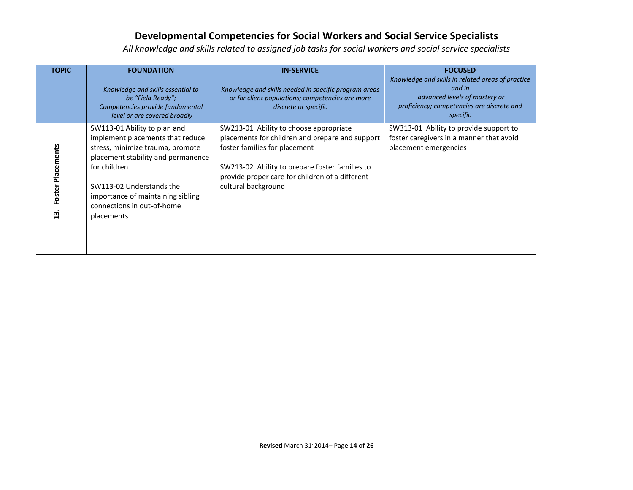| <b>TOPIC</b>                      | <b>FOUNDATION</b><br>Knowledge and skills essential to<br>be "Field Ready";<br>Competencies provide fundamental<br>level or are covered broadly                                                                                                                         | <b>IN-SERVICE</b><br>Knowledge and skills needed in specific program areas<br>or for client populations; competencies are more<br>discrete or specific                                                                                                 | <b>FOCUSED</b><br>Knowledge and skills in related areas of practice<br>and in<br>advanced levels of mastery or<br>proficiency; competencies are discrete and<br>specific |
|-----------------------------------|-------------------------------------------------------------------------------------------------------------------------------------------------------------------------------------------------------------------------------------------------------------------------|--------------------------------------------------------------------------------------------------------------------------------------------------------------------------------------------------------------------------------------------------------|--------------------------------------------------------------------------------------------------------------------------------------------------------------------------|
| Foster Placements<br>$\mathbf{u}$ | SW113-01 Ability to plan and<br>implement placements that reduce<br>stress, minimize trauma, promote<br>placement stability and permanence<br>for children<br>SW113-02 Understands the<br>importance of maintaining sibling<br>connections in out-of-home<br>placements | SW213-01 Ability to choose appropriate<br>placements for children and prepare and support<br>foster families for placement<br>SW213-02 Ability to prepare foster families to<br>provide proper care for children of a different<br>cultural background | SW313-01 Ability to provide support to<br>foster caregivers in a manner that avoid<br>placement emergencies                                                              |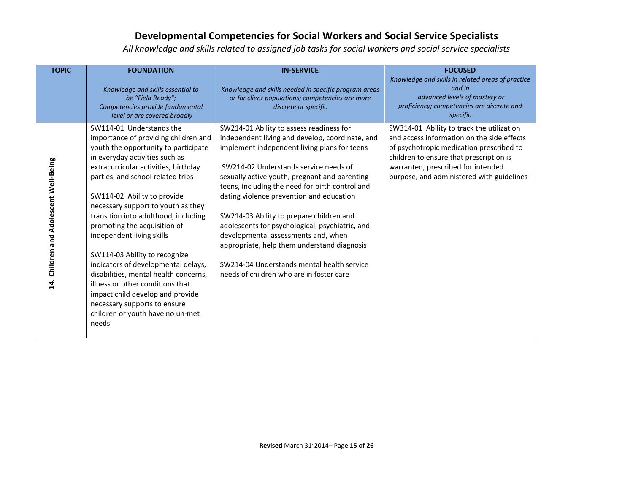| <b>TOPIC</b>                                            | <b>FOUNDATION</b>                                                                                                                                                                                                                                                                                                                                                                                                                                                                                                                                                                                                                                                       | <b>IN-SERVICE</b>                                                                                                                                                                                                                                                                                                                                                                                                                                                                                                                                                                                                   | <b>FOCUSED</b>                                                                                                                                                                                                                                                    |
|---------------------------------------------------------|-------------------------------------------------------------------------------------------------------------------------------------------------------------------------------------------------------------------------------------------------------------------------------------------------------------------------------------------------------------------------------------------------------------------------------------------------------------------------------------------------------------------------------------------------------------------------------------------------------------------------------------------------------------------------|---------------------------------------------------------------------------------------------------------------------------------------------------------------------------------------------------------------------------------------------------------------------------------------------------------------------------------------------------------------------------------------------------------------------------------------------------------------------------------------------------------------------------------------------------------------------------------------------------------------------|-------------------------------------------------------------------------------------------------------------------------------------------------------------------------------------------------------------------------------------------------------------------|
|                                                         | Knowledge and skills essential to<br>be "Field Ready";<br>Competencies provide fundamental<br>level or are covered broadly                                                                                                                                                                                                                                                                                                                                                                                                                                                                                                                                              | Knowledge and skills needed in specific program areas<br>or for client populations; competencies are more<br>discrete or specific                                                                                                                                                                                                                                                                                                                                                                                                                                                                                   | Knowledge and skills in related areas of practice<br>and in<br>advanced levels of mastery or<br>proficiency; competencies are discrete and<br>specific                                                                                                            |
| Children and Adolescent Well-Being<br>$\overline{14}$ . | SW114-01 Understands the<br>importance of providing children and<br>youth the opportunity to participate<br>in everyday activities such as<br>extracurricular activities, birthday<br>parties, and school related trips<br>SW114-02 Ability to provide<br>necessary support to youth as they<br>transition into adulthood, including<br>promoting the acquisition of<br>independent living skills<br>SW114-03 Ability to recognize<br>indicators of developmental delays,<br>disabilities, mental health concerns,<br>illness or other conditions that<br>impact child develop and provide<br>necessary supports to ensure<br>children or youth have no un-met<br>needs | SW214-01 Ability to assess readiness for<br>independent living and develop, coordinate, and<br>implement independent living plans for teens<br>SW214-02 Understands service needs of<br>sexually active youth, pregnant and parenting<br>teens, including the need for birth control and<br>dating violence prevention and education<br>SW214-03 Ability to prepare children and<br>adolescents for psychological, psychiatric, and<br>developmental assessments and, when<br>appropriate, help them understand diagnosis<br>SW214-04 Understands mental health service<br>needs of children who are in foster care | SW314-01 Ability to track the utilization<br>and access information on the side effects<br>of psychotropic medication prescribed to<br>children to ensure that prescription is<br>warranted, prescribed for intended<br>purpose, and administered with guidelines |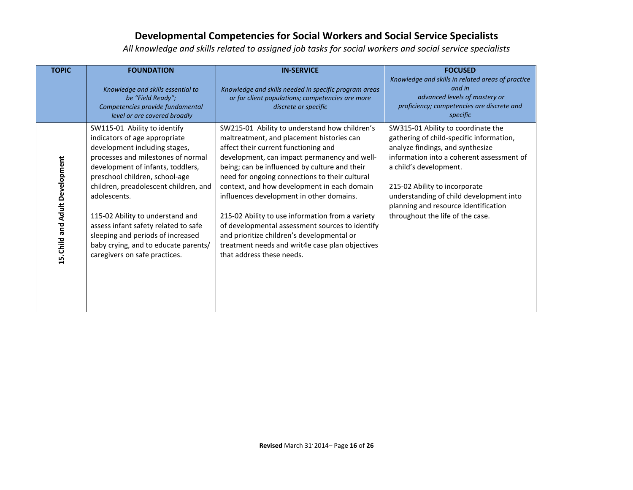| <b>TOPIC</b>                    | <b>FOUNDATION</b>                                                                                                                                                                                                                                                                                                                                                                                                                                              | <b>IN-SERVICE</b>                                                                                                                                                                                                                                                                                                                                                                                                                                                                                                                                                                                                     | <b>FOCUSED</b>                                                                                                                                                                                                                                                                                                                                    |
|---------------------------------|----------------------------------------------------------------------------------------------------------------------------------------------------------------------------------------------------------------------------------------------------------------------------------------------------------------------------------------------------------------------------------------------------------------------------------------------------------------|-----------------------------------------------------------------------------------------------------------------------------------------------------------------------------------------------------------------------------------------------------------------------------------------------------------------------------------------------------------------------------------------------------------------------------------------------------------------------------------------------------------------------------------------------------------------------------------------------------------------------|---------------------------------------------------------------------------------------------------------------------------------------------------------------------------------------------------------------------------------------------------------------------------------------------------------------------------------------------------|
|                                 | Knowledge and skills essential to<br>be "Field Ready";<br>Competencies provide fundamental<br>level or are covered broadly                                                                                                                                                                                                                                                                                                                                     | Knowledge and skills needed in specific program areas<br>or for client populations; competencies are more<br>discrete or specific                                                                                                                                                                                                                                                                                                                                                                                                                                                                                     | Knowledge and skills in related areas of practice<br>and in<br>advanced levels of mastery or<br>proficiency; competencies are discrete and<br>specific                                                                                                                                                                                            |
| 15. Child and Adult Development | SW115-01 Ability to identify<br>indicators of age appropriate<br>development including stages,<br>processes and milestones of normal<br>development of infants, toddlers,<br>preschool children, school-age<br>children, preadolescent children, and<br>adolescents.<br>115-02 Ability to understand and<br>assess infant safety related to safe<br>sleeping and periods of increased<br>baby crying, and to educate parents/<br>caregivers on safe practices. | SW215-01 Ability to understand how children's<br>maltreatment, and placement histories can<br>affect their current functioning and<br>development, can impact permanency and well-<br>being; can be influenced by culture and their<br>need for ongoing connections to their cultural<br>context, and how development in each domain<br>influences development in other domains.<br>215-02 Ability to use information from a variety<br>of developmental assessment sources to identify<br>and prioritize children's developmental or<br>treatment needs and writ4e case plan objectives<br>that address these needs. | SW315-01 Ability to coordinate the<br>gathering of child-specific information,<br>analyze findings, and synthesize<br>information into a coherent assessment of<br>a child's development.<br>215-02 Ability to incorporate<br>understanding of child development into<br>planning and resource identification<br>throughout the life of the case. |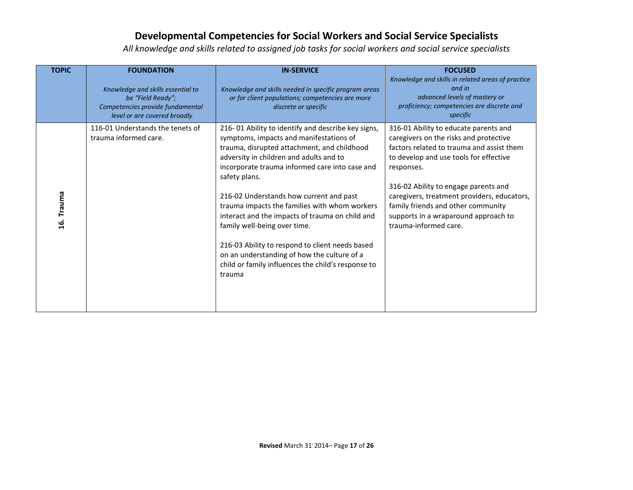| <b>TOPIC</b> | <b>FOUNDATION</b>                                                                                                          | <b>IN-SERVICE</b>                                                                                                                                                                                                                                                                                                                                                                                                                                                                                                                                                                                           | <b>FOCUSED</b>                                                                                                                                                                                                                                                                                                                                                                     |
|--------------|----------------------------------------------------------------------------------------------------------------------------|-------------------------------------------------------------------------------------------------------------------------------------------------------------------------------------------------------------------------------------------------------------------------------------------------------------------------------------------------------------------------------------------------------------------------------------------------------------------------------------------------------------------------------------------------------------------------------------------------------------|------------------------------------------------------------------------------------------------------------------------------------------------------------------------------------------------------------------------------------------------------------------------------------------------------------------------------------------------------------------------------------|
|              | Knowledge and skills essential to<br>be "Field Ready";<br>Competencies provide fundamental<br>level or are covered broadly | Knowledge and skills needed in specific program areas<br>or for client populations; competencies are more<br>discrete or specific                                                                                                                                                                                                                                                                                                                                                                                                                                                                           | Knowledge and skills in related areas of practice<br>and in<br>advanced levels of mastery or<br>proficiency; competencies are discrete and<br>specific                                                                                                                                                                                                                             |
| 16. Trauma   | 116-01 Understands the tenets of<br>trauma informed care.                                                                  | 216-01 Ability to identify and describe key signs,<br>symptoms, impacts and manifestations of<br>trauma, disrupted attachment, and childhood<br>adversity in children and adults and to<br>incorporate trauma informed care into case and<br>safety plans.<br>216-02 Understands how current and past<br>trauma impacts the families with whom workers<br>interact and the impacts of trauma on child and<br>family well-being over time.<br>216-03 Ability to respond to client needs based<br>on an understanding of how the culture of a<br>child or family influences the child's response to<br>trauma | 316-01 Ability to educate parents and<br>caregivers on the risks and protective<br>factors related to trauma and assist them<br>to develop and use tools for effective<br>responses.<br>316-02 Ability to engage parents and<br>caregivers, treatment providers, educators,<br>family friends and other community<br>supports in a wraparound approach to<br>trauma-informed care. |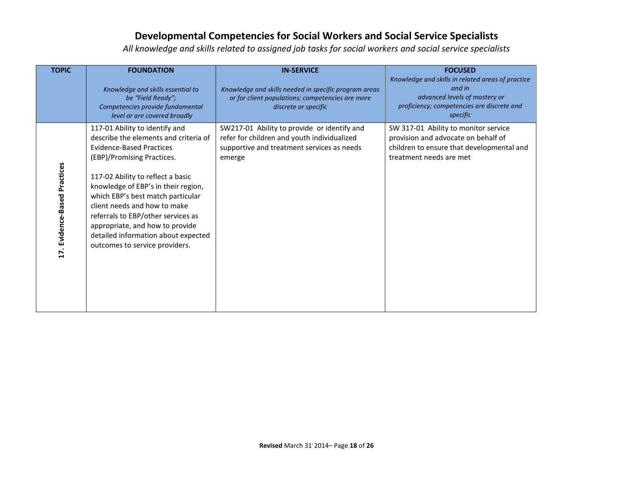| <b>TOPIC</b>                 | <b>FOUNDATION</b>                                                                                                                                                                                                                                                                                                                                                                                                                           | <b>IN-SERVICE</b>                                                                                                                                  | <b>FOCUSED</b>                                                                                                                                         |
|------------------------------|---------------------------------------------------------------------------------------------------------------------------------------------------------------------------------------------------------------------------------------------------------------------------------------------------------------------------------------------------------------------------------------------------------------------------------------------|----------------------------------------------------------------------------------------------------------------------------------------------------|--------------------------------------------------------------------------------------------------------------------------------------------------------|
|                              | Knowledge and skills essential to<br>be "Field Ready";<br>Competencies provide fundamental<br>level or are covered broadly                                                                                                                                                                                                                                                                                                                  | Knowledge and skills needed in specific program areas<br>or for client populations; competencies are more<br>discrete or specific                  | Knowledge and skills in related areas of practice<br>and in<br>advanced levels of mastery or<br>proficiency; competencies are discrete and<br>specific |
| 17. Evidence-Based Practices | 117-01 Ability to identify and<br>describe the elements and criteria of<br><b>Evidence-Based Practices</b><br>(EBP)/Promising Practices.<br>117-02 Ability to reflect a basic<br>knowledge of EBP's in their region,<br>which EBP's best match particular<br>client needs and how to make<br>referrals to EBP/other services as<br>appropriate, and how to provide<br>detailed information about expected<br>outcomes to service providers. | SW217-01 Ability to provide or identify and<br>refer for children and youth individualized<br>supportive and treatment services as needs<br>emerge | SW 317-01 Ability to monitor service<br>provision and advocate on behalf of<br>children to ensure that developmental and<br>treatment needs are met    |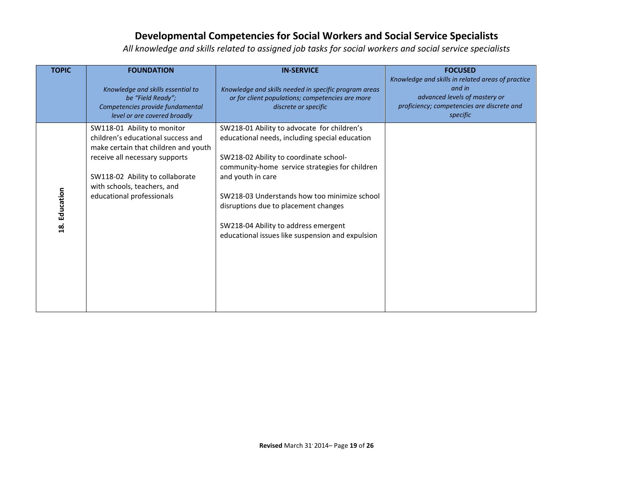| <b>TOPIC</b>  | <b>FOUNDATION</b>                                                                                                                                                                                                                          | <b>IN-SERVICE</b>                                                                                                                                                                                                                                                                                                                                                                                  | <b>FOCUSED</b>                                                                                                                                         |
|---------------|--------------------------------------------------------------------------------------------------------------------------------------------------------------------------------------------------------------------------------------------|----------------------------------------------------------------------------------------------------------------------------------------------------------------------------------------------------------------------------------------------------------------------------------------------------------------------------------------------------------------------------------------------------|--------------------------------------------------------------------------------------------------------------------------------------------------------|
|               | Knowledge and skills essential to<br>be "Field Ready";<br>Competencies provide fundamental<br>level or are covered broadly                                                                                                                 | Knowledge and skills needed in specific program areas<br>or for client populations; competencies are more<br>discrete or specific                                                                                                                                                                                                                                                                  | Knowledge and skills in related areas of practice<br>and in<br>advanced levels of mastery or<br>proficiency; competencies are discrete and<br>specific |
| 18. Education | SW118-01 Ability to monitor<br>children's educational success and<br>make certain that children and youth<br>receive all necessary supports<br>SW118-02 Ability to collaborate<br>with schools, teachers, and<br>educational professionals | SW218-01 Ability to advocate for children's<br>educational needs, including special education<br>SW218-02 Ability to coordinate school-<br>community-home service strategies for children<br>and youth in care<br>SW218-03 Understands how too minimize school<br>disruptions due to placement changes<br>SW218-04 Ability to address emergent<br>educational issues like suspension and expulsion |                                                                                                                                                        |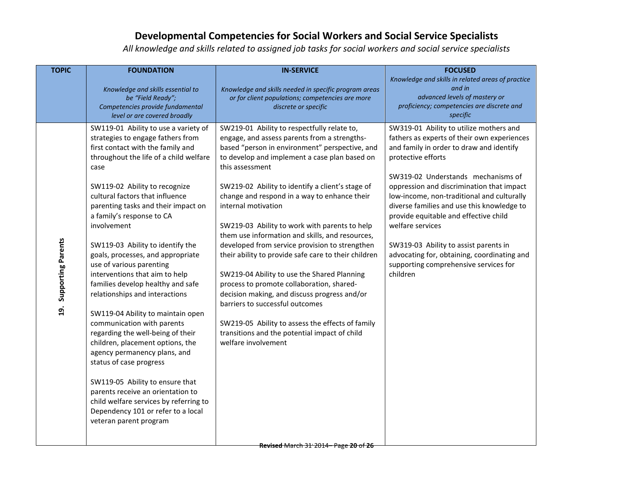| <b>TOPIC</b>                      | <b>FOUNDATION</b>                                                                                                                                                                                                                                                                                                                                                                                                                                                                                                                                                                                                                                                                                                                                                                                                                                                                                                              | <b>IN-SERVICE</b>                                                                                                                                                                                                                                                                                                                                                                                                                                                                                                                                                                                                                                                                                                                                                                                                                                                     | <b>FOCUSED</b>                                                                                                                                                                                                                                                                                                                                                                                                                                                                                                                                    |
|-----------------------------------|--------------------------------------------------------------------------------------------------------------------------------------------------------------------------------------------------------------------------------------------------------------------------------------------------------------------------------------------------------------------------------------------------------------------------------------------------------------------------------------------------------------------------------------------------------------------------------------------------------------------------------------------------------------------------------------------------------------------------------------------------------------------------------------------------------------------------------------------------------------------------------------------------------------------------------|-----------------------------------------------------------------------------------------------------------------------------------------------------------------------------------------------------------------------------------------------------------------------------------------------------------------------------------------------------------------------------------------------------------------------------------------------------------------------------------------------------------------------------------------------------------------------------------------------------------------------------------------------------------------------------------------------------------------------------------------------------------------------------------------------------------------------------------------------------------------------|---------------------------------------------------------------------------------------------------------------------------------------------------------------------------------------------------------------------------------------------------------------------------------------------------------------------------------------------------------------------------------------------------------------------------------------------------------------------------------------------------------------------------------------------------|
|                                   | Knowledge and skills essential to<br>be "Field Ready";<br>Competencies provide fundamental<br>level or are covered broadly                                                                                                                                                                                                                                                                                                                                                                                                                                                                                                                                                                                                                                                                                                                                                                                                     | Knowledge and skills needed in specific program areas<br>or for client populations; competencies are more<br>discrete or specific                                                                                                                                                                                                                                                                                                                                                                                                                                                                                                                                                                                                                                                                                                                                     | Knowledge and skills in related areas of practice<br>and in<br>advanced levels of mastery or<br>proficiency; competencies are discrete and<br>specific                                                                                                                                                                                                                                                                                                                                                                                            |
| Supporting Parents<br><u>ុទ្ធ</u> | SW119-01 Ability to use a variety of<br>strategies to engage fathers from<br>first contact with the family and<br>throughout the life of a child welfare<br>case<br>SW119-02 Ability to recognize<br>cultural factors that influence<br>parenting tasks and their impact on<br>a family's response to CA<br>involvement<br>SW119-03 Ability to identify the<br>goals, processes, and appropriate<br>use of various parenting<br>interventions that aim to help<br>families develop healthy and safe<br>relationships and interactions<br>SW119-04 Ability to maintain open<br>communication with parents<br>regarding the well-being of their<br>children, placement options, the<br>agency permanency plans, and<br>status of case progress<br>SW119-05 Ability to ensure that<br>parents receive an orientation to<br>child welfare services by referring to<br>Dependency 101 or refer to a local<br>veteran parent program | SW219-01 Ability to respectfully relate to,<br>engage, and assess parents from a strengths-<br>based "person in environment" perspective, and<br>to develop and implement a case plan based on<br>this assessment<br>SW219-02 Ability to identify a client's stage of<br>change and respond in a way to enhance their<br>internal motivation<br>SW219-03 Ability to work with parents to help<br>them use information and skills, and resources,<br>developed from service provision to strengthen<br>their ability to provide safe care to their children<br>SW219-04 Ability to use the Shared Planning<br>process to promote collaboration, shared-<br>decision making, and discuss progress and/or<br>barriers to successful outcomes<br>SW219-05 Ability to assess the effects of family<br>transitions and the potential impact of child<br>welfare involvement | SW319-01 Ability to utilize mothers and<br>fathers as experts of their own experiences<br>and family in order to draw and identify<br>protective efforts<br>SW319-02 Understands mechanisms of<br>oppression and discrimination that impact<br>low-income, non-traditional and culturally<br>diverse families and use this knowledge to<br>provide equitable and effective child<br>welfare services<br>SW319-03 Ability to assist parents in<br>advocating for, obtaining, coordinating and<br>supporting comprehensive services for<br>children |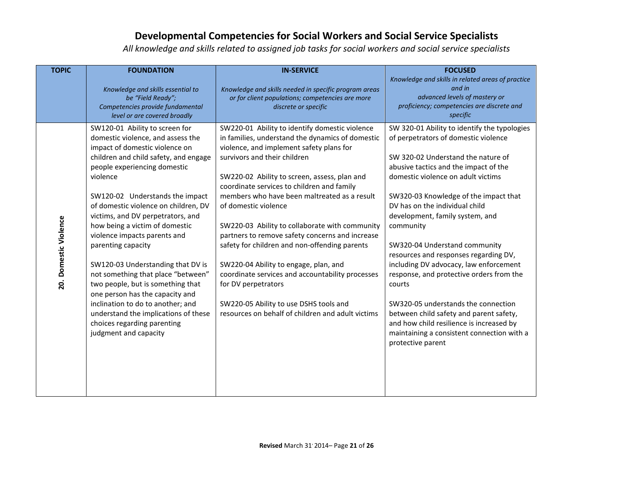| <b>TOPIC</b>          | <b>FOUNDATION</b>                                                                                                                                                                                                                                                                                                                                                                                                                                                                                                                                                                                                                                                                          | <b>IN-SERVICE</b>                                                                                                                                                                                                                                                                                                                                                                                                                                                                                                                                                                                                                                                                                                             | <b>FOCUSED</b>                                                                                                                                                                                                                                                                                                                                                                                                                                                                                                                                                                                                                                                                                                  |
|-----------------------|--------------------------------------------------------------------------------------------------------------------------------------------------------------------------------------------------------------------------------------------------------------------------------------------------------------------------------------------------------------------------------------------------------------------------------------------------------------------------------------------------------------------------------------------------------------------------------------------------------------------------------------------------------------------------------------------|-------------------------------------------------------------------------------------------------------------------------------------------------------------------------------------------------------------------------------------------------------------------------------------------------------------------------------------------------------------------------------------------------------------------------------------------------------------------------------------------------------------------------------------------------------------------------------------------------------------------------------------------------------------------------------------------------------------------------------|-----------------------------------------------------------------------------------------------------------------------------------------------------------------------------------------------------------------------------------------------------------------------------------------------------------------------------------------------------------------------------------------------------------------------------------------------------------------------------------------------------------------------------------------------------------------------------------------------------------------------------------------------------------------------------------------------------------------|
|                       | Knowledge and skills essential to<br>be "Field Ready";<br>Competencies provide fundamental<br>level or are covered broadly                                                                                                                                                                                                                                                                                                                                                                                                                                                                                                                                                                 | Knowledge and skills needed in specific program areas<br>or for client populations; competencies are more<br>discrete or specific                                                                                                                                                                                                                                                                                                                                                                                                                                                                                                                                                                                             | Knowledge and skills in related areas of practice<br>and in<br>advanced levels of mastery or<br>proficiency; competencies are discrete and<br>specific                                                                                                                                                                                                                                                                                                                                                                                                                                                                                                                                                          |
| 20. Domestic Violence | SW120-01 Ability to screen for<br>domestic violence, and assess the<br>impact of domestic violence on<br>children and child safety, and engage<br>people experiencing domestic<br>violence<br>SW120-02 Understands the impact<br>of domestic violence on children, DV<br>victims, and DV perpetrators, and<br>how being a victim of domestic<br>violence impacts parents and<br>parenting capacity<br>SW120-03 Understanding that DV is<br>not something that place "between"<br>two people, but is something that<br>one person has the capacity and<br>inclination to do to another; and<br>understand the implications of these<br>choices regarding parenting<br>judgment and capacity | SW220-01 Ability to identify domestic violence<br>in families, understand the dynamics of domestic<br>violence, and implement safety plans for<br>survivors and their children<br>SW220-02 Ability to screen, assess, plan and<br>coordinate services to children and family<br>members who have been maltreated as a result<br>of domestic violence<br>SW220-03 Ability to collaborate with community<br>partners to remove safety concerns and increase<br>safety for children and non-offending parents<br>SW220-04 Ability to engage, plan, and<br>coordinate services and accountability processes<br>for DV perpetrators<br>SW220-05 Ability to use DSHS tools and<br>resources on behalf of children and adult victims | SW 320-01 Ability to identify the typologies<br>of perpetrators of domestic violence<br>SW 320-02 Understand the nature of<br>abusive tactics and the impact of the<br>domestic violence on adult victims<br>SW320-03 Knowledge of the impact that<br>DV has on the individual child<br>development, family system, and<br>community<br>SW320-04 Understand community<br>resources and responses regarding DV,<br>including DV advocacy, law enforcement<br>response, and protective orders from the<br>courts<br>SW320-05 understands the connection<br>between child safety and parent safety,<br>and how child resilience is increased by<br>maintaining a consistent connection with a<br>protective parent |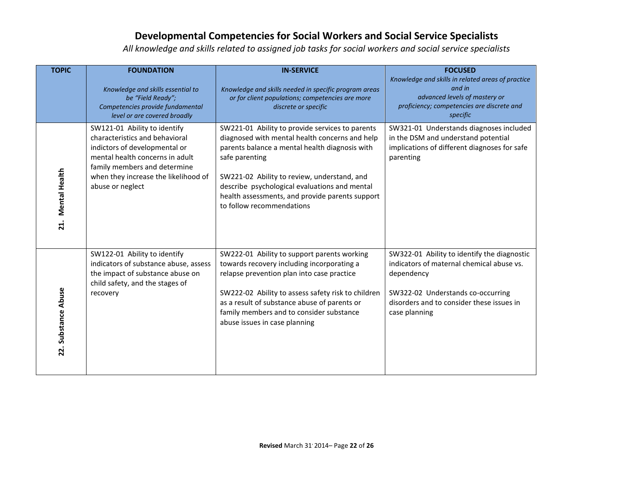| <b>TOPIC</b>                | <b>FOUNDATION</b>                                                                                                                                                                                                              | <b>IN-SERVICE</b>                                                                                                                                                                                                                                                                                                                                     | <b>FOCUSED</b>                                                                                                                                                                                            |
|-----------------------------|--------------------------------------------------------------------------------------------------------------------------------------------------------------------------------------------------------------------------------|-------------------------------------------------------------------------------------------------------------------------------------------------------------------------------------------------------------------------------------------------------------------------------------------------------------------------------------------------------|-----------------------------------------------------------------------------------------------------------------------------------------------------------------------------------------------------------|
|                             | Knowledge and skills essential to<br>be "Field Ready";<br>Competencies provide fundamental<br>level or are covered broadly                                                                                                     | Knowledge and skills needed in specific program areas<br>or for client populations; competencies are more<br>discrete or specific                                                                                                                                                                                                                     | Knowledge and skills in related areas of practice<br>and in<br>advanced levels of mastery or<br>proficiency; competencies are discrete and<br>specific                                                    |
| <b>Mental Health</b><br>21. | SW121-01 Ability to identify<br>characteristics and behavioral<br>indictors of developmental or<br>mental health concerns in adult<br>family members and determine<br>when they increase the likelihood of<br>abuse or neglect | SW221-01 Ability to provide services to parents<br>diagnosed with mental health concerns and help<br>parents balance a mental health diagnosis with<br>safe parenting<br>SW221-02 Ability to review, understand, and<br>describe psychological evaluations and mental<br>health assessments, and provide parents support<br>to follow recommendations | SW321-01 Understands diagnoses included<br>in the DSM and understand potential<br>implications of different diagnoses for safe<br>parenting                                                               |
| 22. Substance Abuse         | SW122-01 Ability to identify<br>indicators of substance abuse, assess<br>the impact of substance abuse on<br>child safety, and the stages of<br>recovery                                                                       | SW222-01 Ability to support parents working<br>towards recovery including incorporating a<br>relapse prevention plan into case practice<br>SW222-02 Ability to assess safety risk to children<br>as a result of substance abuse of parents or<br>family members and to consider substance<br>abuse issues in case planning                            | SW322-01 Ability to identify the diagnostic<br>indicators of maternal chemical abuse vs.<br>dependency<br>SW322-02 Understands co-occurring<br>disorders and to consider these issues in<br>case planning |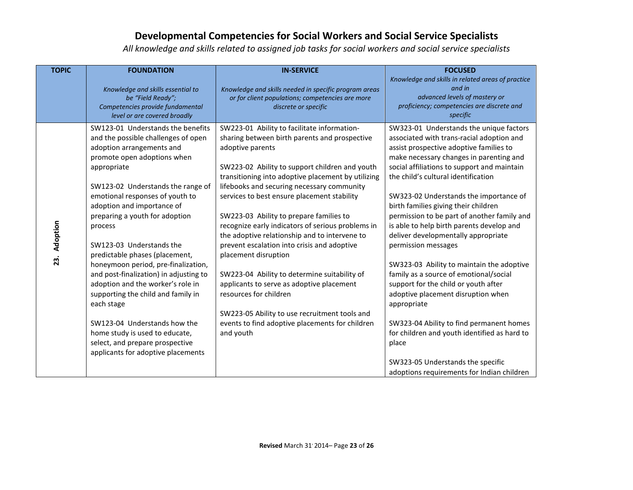| <b>TOPIC</b>    | <b>FOUNDATION</b>                                                                                                                                                                                                                                                                                                                                                                                                                                                                                                                                                                                                                                                                         | <b>IN-SERVICE</b>                                                                                                                                                                                                                                                                                                                                                                                                                                                                                                                                                                                                                                                                                                                                                                     | <b>FOCUSED</b>                                                                                                                                                                                                                                                                                                                                                                                                                                                                                                                                                                                                                                                                                                                                                                                                                                                                           |
|-----------------|-------------------------------------------------------------------------------------------------------------------------------------------------------------------------------------------------------------------------------------------------------------------------------------------------------------------------------------------------------------------------------------------------------------------------------------------------------------------------------------------------------------------------------------------------------------------------------------------------------------------------------------------------------------------------------------------|---------------------------------------------------------------------------------------------------------------------------------------------------------------------------------------------------------------------------------------------------------------------------------------------------------------------------------------------------------------------------------------------------------------------------------------------------------------------------------------------------------------------------------------------------------------------------------------------------------------------------------------------------------------------------------------------------------------------------------------------------------------------------------------|------------------------------------------------------------------------------------------------------------------------------------------------------------------------------------------------------------------------------------------------------------------------------------------------------------------------------------------------------------------------------------------------------------------------------------------------------------------------------------------------------------------------------------------------------------------------------------------------------------------------------------------------------------------------------------------------------------------------------------------------------------------------------------------------------------------------------------------------------------------------------------------|
|                 | Knowledge and skills essential to<br>be "Field Ready";<br>Competencies provide fundamental<br>level or are covered broadly                                                                                                                                                                                                                                                                                                                                                                                                                                                                                                                                                                | Knowledge and skills needed in specific program areas<br>or for client populations; competencies are more<br>discrete or specific                                                                                                                                                                                                                                                                                                                                                                                                                                                                                                                                                                                                                                                     | Knowledge and skills in related areas of practice<br>and in<br>advanced levels of mastery or<br>proficiency; competencies are discrete and<br>specific                                                                                                                                                                                                                                                                                                                                                                                                                                                                                                                                                                                                                                                                                                                                   |
| Adoption<br>23. | SW123-01 Understands the benefits<br>and the possible challenges of open<br>adoption arrangements and<br>promote open adoptions when<br>appropriate<br>SW123-02 Understands the range of<br>emotional responses of youth to<br>adoption and importance of<br>preparing a youth for adoption<br>process<br>SW123-03 Understands the<br>predictable phases (placement,<br>honeymoon period, pre-finalization,<br>and post-finalization) in adjusting to<br>adoption and the worker's role in<br>supporting the child and family in<br>each stage<br>SW123-04 Understands how the<br>home study is used to educate,<br>select, and prepare prospective<br>applicants for adoptive placements | SW223-01 Ability to facilitate information-<br>sharing between birth parents and prospective<br>adoptive parents<br>SW223-02 Ability to support children and youth<br>transitioning into adoptive placement by utilizing<br>lifebooks and securing necessary community<br>services to best ensure placement stability<br>SW223-03 Ability to prepare families to<br>recognize early indicators of serious problems in<br>the adoptive relationship and to intervene to<br>prevent escalation into crisis and adoptive<br>placement disruption<br>SW223-04 Ability to determine suitability of<br>applicants to serve as adoptive placement<br>resources for children<br>SW223-05 Ability to use recruitment tools and<br>events to find adoptive placements for children<br>and youth | SW323-01 Understands the unique factors<br>associated with trans-racial adoption and<br>assist prospective adoptive families to<br>make necessary changes in parenting and<br>social affiliations to support and maintain<br>the child's cultural identification<br>SW323-02 Understands the importance of<br>birth families giving their children<br>permission to be part of another family and<br>is able to help birth parents develop and<br>deliver developmentally appropriate<br>permission messages<br>SW323-03 Ability to maintain the adoptive<br>family as a source of emotional/social<br>support for the child or youth after<br>adoptive placement disruption when<br>appropriate<br>SW323-04 Ability to find permanent homes<br>for children and youth identified as hard to<br>place<br>SW323-05 Understands the specific<br>adoptions requirements for Indian children |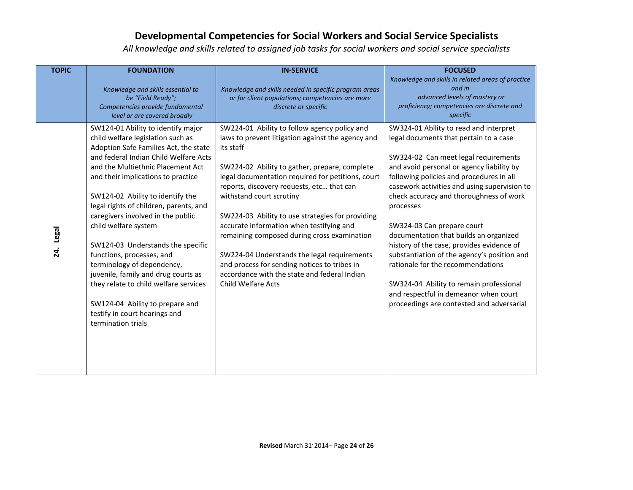| <b>TOPIC</b>        | <b>FOUNDATION</b><br>Knowledge and skills essential to<br>be "Field Ready";<br>Competencies provide fundamental<br>level or are covered broadly                                                                                                                                                                                                                                                                                                                                                                                                                                                                                                           | <b>IN-SERVICE</b><br>Knowledge and skills needed in specific program areas<br>or for client populations; competencies are more<br>discrete or specific                                                                                                                                                                                                                                                                                                                                                                                                                                                                   | <b>FOCUSED</b><br>Knowledge and skills in related areas of practice<br>and in<br>advanced levels of mastery or<br>proficiency; competencies are discrete and<br>specific                                                                                                                                                                                                                                                                                                                                                                                                                                                                                            |
|---------------------|-----------------------------------------------------------------------------------------------------------------------------------------------------------------------------------------------------------------------------------------------------------------------------------------------------------------------------------------------------------------------------------------------------------------------------------------------------------------------------------------------------------------------------------------------------------------------------------------------------------------------------------------------------------|--------------------------------------------------------------------------------------------------------------------------------------------------------------------------------------------------------------------------------------------------------------------------------------------------------------------------------------------------------------------------------------------------------------------------------------------------------------------------------------------------------------------------------------------------------------------------------------------------------------------------|---------------------------------------------------------------------------------------------------------------------------------------------------------------------------------------------------------------------------------------------------------------------------------------------------------------------------------------------------------------------------------------------------------------------------------------------------------------------------------------------------------------------------------------------------------------------------------------------------------------------------------------------------------------------|
| <b>Legal</b><br>24. | SW124-01 Ability to identify major<br>child welfare legislation such as<br>Adoption Safe Families Act, the state<br>and federal Indian Child Welfare Acts<br>and the Multiethnic Placement Act<br>and their implications to practice<br>SW124-02 Ability to identify the<br>legal rights of children, parents, and<br>caregivers involved in the public<br>child welfare system<br>SW124-03 Understands the specific<br>functions, processes, and<br>terminology of dependency,<br>juvenile, family and drug courts as<br>they relate to child welfare services<br>SW124-04 Ability to prepare and<br>testify in court hearings and<br>termination trials | SW224-01 Ability to follow agency policy and<br>laws to prevent litigation against the agency and<br>its staff<br>SW224-02 Ability to gather, prepare, complete<br>legal documentation required for petitions, court<br>reports, discovery requests, etc that can<br>withstand court scrutiny<br>SW224-03 Ability to use strategies for providing<br>accurate information when testifying and<br>remaining composed during cross examination<br>SW224-04 Understands the legal requirements<br>and process for sending notices to tribes in<br>accordance with the state and federal Indian<br><b>Child Welfare Acts</b> | SW324-01 Ability to read and interpret<br>legal documents that pertain to a case<br>SW324-02 Can meet legal requirements<br>and avoid personal or agency liability by<br>following policies and procedures in all<br>casework activities and using supervision to<br>check accuracy and thoroughness of work<br>processes<br>SW324-03 Can prepare court<br>documentation that builds an organized<br>history of the case, provides evidence of<br>substantiation of the agency's position and<br>rationale for the recommendations<br>SW324-04 Ability to remain professional<br>and respectful in demeanor when court<br>proceedings are contested and adversarial |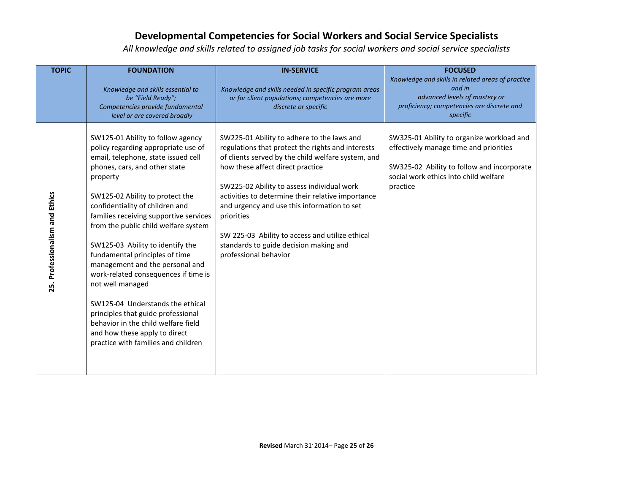| <b>TOPIC</b>                   | <b>FOUNDATION</b><br>Knowledge and skills essential to<br>be "Field Ready";<br>Competencies provide fundamental<br>level or are covered broadly                                                                                                                                                                                                                                                                                                                                                                                                                                                                                                                                    | <b>IN-SERVICE</b><br>Knowledge and skills needed in specific program areas<br>or for client populations; competencies are more<br>discrete or specific                                                                                                                                                                                                                                                                                                                          | <b>FOCUSED</b><br>Knowledge and skills in related areas of practice<br>and in<br>advanced levels of mastery or<br>proficiency; competencies are discrete and<br>specific               |
|--------------------------------|------------------------------------------------------------------------------------------------------------------------------------------------------------------------------------------------------------------------------------------------------------------------------------------------------------------------------------------------------------------------------------------------------------------------------------------------------------------------------------------------------------------------------------------------------------------------------------------------------------------------------------------------------------------------------------|---------------------------------------------------------------------------------------------------------------------------------------------------------------------------------------------------------------------------------------------------------------------------------------------------------------------------------------------------------------------------------------------------------------------------------------------------------------------------------|----------------------------------------------------------------------------------------------------------------------------------------------------------------------------------------|
| 25. Professionalism and Ethics | SW125-01 Ability to follow agency<br>policy regarding appropriate use of<br>email, telephone, state issued cell<br>phones, cars, and other state<br>property<br>SW125-02 Ability to protect the<br>confidentiality of children and<br>families receiving supportive services<br>from the public child welfare system<br>SW125-03 Ability to identify the<br>fundamental principles of time<br>management and the personal and<br>work-related consequences if time is<br>not well managed<br>SW125-04 Understands the ethical<br>principles that guide professional<br>behavior in the child welfare field<br>and how these apply to direct<br>practice with families and children | SW225-01 Ability to adhere to the laws and<br>regulations that protect the rights and interests<br>of clients served by the child welfare system, and<br>how these affect direct practice<br>SW225-02 Ability to assess individual work<br>activities to determine their relative importance<br>and urgency and use this information to set<br>priorities<br>SW 225-03 Ability to access and utilize ethical<br>standards to guide decision making and<br>professional behavior | SW325-01 Ability to organize workload and<br>effectively manage time and priorities<br>SW325-02 Ability to follow and incorporate<br>social work ethics into child welfare<br>practice |